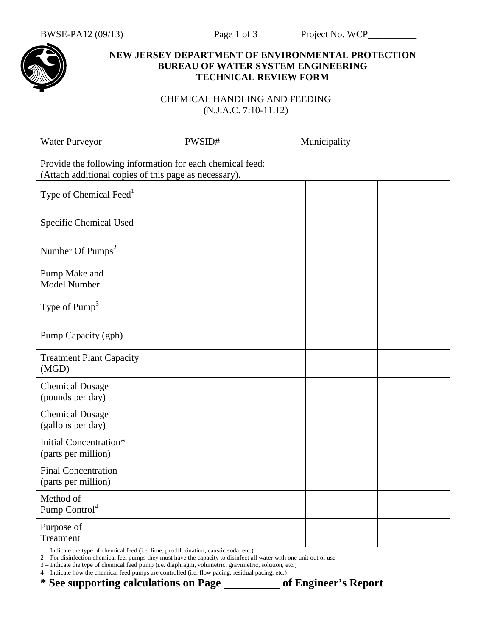

## **NEW JERSEY DEPARTMENT OF ENVIRONMENTAL PROTECTION BUREAU OF WATER SYSTEM ENGINEERING TECHNICAL REVIEW FORM**

## CHEMICAL HANDLING AND FEEDING (N.J.A.C. 7:10-11.12)

Water Purveyor PWSID# Municipality

| Provide the following information for each chemical feed:<br>(Attach additional copies of this page as necessary). |  |  |  |  |  |
|--------------------------------------------------------------------------------------------------------------------|--|--|--|--|--|
| Type of Chemical Feed <sup>1</sup>                                                                                 |  |  |  |  |  |
| Specific Chemical Used                                                                                             |  |  |  |  |  |
| Number Of Pumps <sup>2</sup>                                                                                       |  |  |  |  |  |
| Pump Make and<br>Model Number                                                                                      |  |  |  |  |  |
| Type of $Pump3$                                                                                                    |  |  |  |  |  |
| Pump Capacity (gph)                                                                                                |  |  |  |  |  |
| <b>Treatment Plant Capacity</b><br>(MGD)                                                                           |  |  |  |  |  |
| <b>Chemical Dosage</b><br>(pounds per day)                                                                         |  |  |  |  |  |
| <b>Chemical Dosage</b><br>(gallons per day)                                                                        |  |  |  |  |  |
| Initial Concentration*<br>(parts per million)                                                                      |  |  |  |  |  |
| <b>Final Concentration</b><br>(parts per million)                                                                  |  |  |  |  |  |
| Method of<br>Pump Control <sup>4</sup>                                                                             |  |  |  |  |  |
| Purpose of<br>Treatment                                                                                            |  |  |  |  |  |

1 – Indicate the type of chemical feed (i.e. lime, prechlorination, caustic soda, etc.)

2 – For disinfection chemical feel pumps they must have the capacity to disinfect all water with one unit out of use

3 – Indicate the type of chemical feed pump (i.e. diaphragm, volumetric, gravimetric, solution, etc.)

4 – Indicate how the chemical feed pumps are controlled (i.e. flow pacing, residual pacing, etc.)

\* See supporting calculations on Page \_\_\_\_\_\_\_\_\_\_\_ of Engineer's Report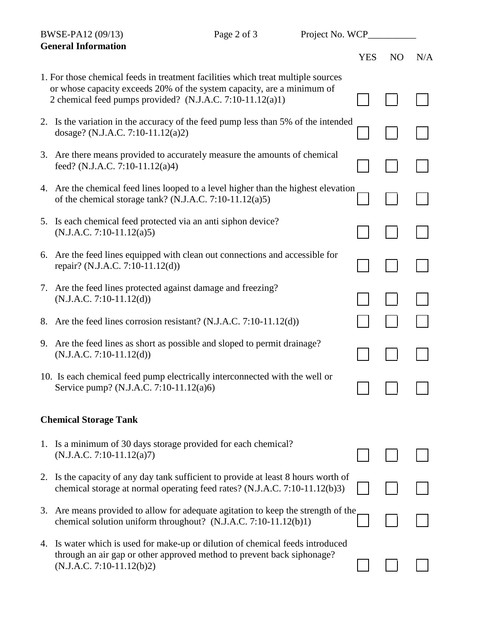| BWSE-PA12 (09/13)<br><b>General Information</b> |                                                                                                                                                                                                                         | Page 2 of 3 | Project No. WCP |            |                |     |
|-------------------------------------------------|-------------------------------------------------------------------------------------------------------------------------------------------------------------------------------------------------------------------------|-------------|-----------------|------------|----------------|-----|
|                                                 |                                                                                                                                                                                                                         |             |                 | <b>YES</b> | N <sub>O</sub> | N/A |
|                                                 | 1. For those chemical feeds in treatment facilities which treat multiple sources<br>or whose capacity exceeds 20% of the system capacity, are a minimum of<br>2 chemical feed pumps provided? (N.J.A.C. 7:10-11.12(a)1) |             |                 |            |                |     |
|                                                 | 2. Is the variation in the accuracy of the feed pump less than 5% of the intended<br>dosage? (N.J.A.C. 7:10-11.12(a)2)                                                                                                  |             |                 |            |                |     |
|                                                 | 3. Are there means provided to accurately measure the amounts of chemical<br>feed? (N.J.A.C. 7:10-11.12(a)4)                                                                                                            |             |                 |            |                |     |
|                                                 | 4. Are the chemical feed lines looped to a level higher than the highest elevation<br>of the chemical storage tank? (N.J.A.C. $7:10-11.12(a)5$ )                                                                        |             |                 |            |                |     |
|                                                 | 5. Is each chemical feed protected via an anti siphon device?<br>$(N.J.A.C. 7:10-11.12(a)5)$                                                                                                                            |             |                 |            |                |     |
|                                                 | 6. Are the feed lines equipped with clean out connections and accessible for<br>repair? (N.J.A.C. 7:10-11.12(d))                                                                                                        |             |                 |            |                |     |
|                                                 | 7. Are the feed lines protected against damage and freezing?<br>$(N.J.A.C. 7:10-11.12(d))$                                                                                                                              |             |                 |            |                |     |
|                                                 | 8. Are the feed lines corrosion resistant? (N.J.A.C. 7:10-11.12(d))                                                                                                                                                     |             |                 |            |                |     |
|                                                 | 9. Are the feed lines as short as possible and sloped to permit drainage?<br>$(N.J.A.C. 7:10-11.12(d))$                                                                                                                 |             |                 |            |                |     |
|                                                 | 10. Is each chemical feed pump electrically interconnected with the well or<br>Service pump? (N.J.A.C. 7:10-11.12(a)6)                                                                                                  |             |                 |            |                |     |
|                                                 | <b>Chemical Storage Tank</b>                                                                                                                                                                                            |             |                 |            |                |     |
|                                                 | 1. Is a minimum of 30 days storage provided for each chemical?<br>$(N.J.A.C. 7:10-11.12(a)7)$                                                                                                                           |             |                 |            |                |     |
|                                                 | 2. Is the capacity of any day tank sufficient to provide at least 8 hours worth of<br>chemical storage at normal operating feed rates? (N.J.A.C. 7:10-11.12(b)3)                                                        |             |                 |            |                |     |
| 3.                                              | Are means provided to allow for adequate agitation to keep the strength of the<br>chemical solution uniform throughout? (N.J.A.C. 7:10-11.12(b)1)                                                                       |             |                 |            |                |     |
|                                                 | 4. Is water which is used for make-up or dilution of chemical feeds introduced<br>through an air gap or other approved method to prevent back siphonage?<br>$(N.J.A.C. 7:10-11.12(b)2)$                                 |             |                 |            |                |     |